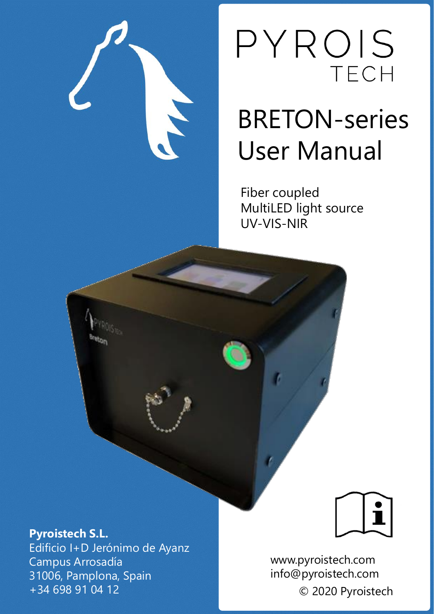# PYROIS **TECH**

# BRETON-series User Manual

Fiber coupled MultiLED light source UV-VIS-NIR

**Pyroistech S.L.** 

Edificio I+D Jerónimo de Ayanz Campus Arrosadía 31006, Pamplona, Spain +34 698 91 04 12 © 2020 Pyroistech



[www.pyroistech.com](https://www.pyroistech.com/) [info@pyroistech.com](mailto:info@pyroistech.com)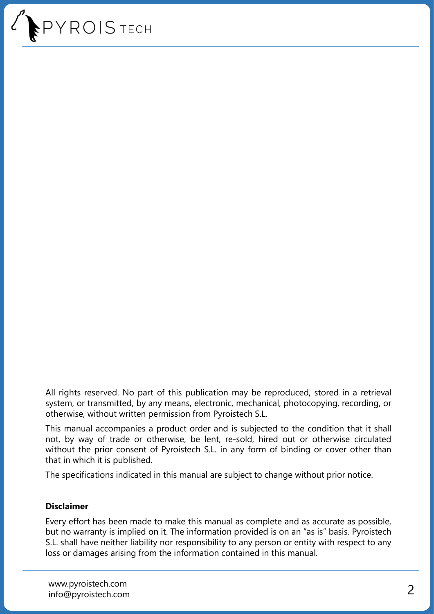

All rights reserved. No part of this publication may be reproduced, stored in a retrieval system, or transmitted, by any means, electronic, mechanical, photocopying, recording, or otherwise, without written permission from Pyroistech S.L.

This manual accompanies a product order and is subjected to the condition that it shall not, by way of trade or otherwise, be lent, re-sold, hired out or otherwise circulated without the prior consent of Pyroistech S.L. in any form of binding or cover other than that in which it is published.

The specifications indicated in this manual are subject to change without prior notice.

#### **Disclaimer**

Every effort has been made to make this manual as complete and as accurate as possible, but no warranty is implied on it. The information provided is on an "as is" basis. Pyroistech S.L. shall have neither liability nor responsibility to any person or entity with respect to any loss or damages arising from the information contained in this manual.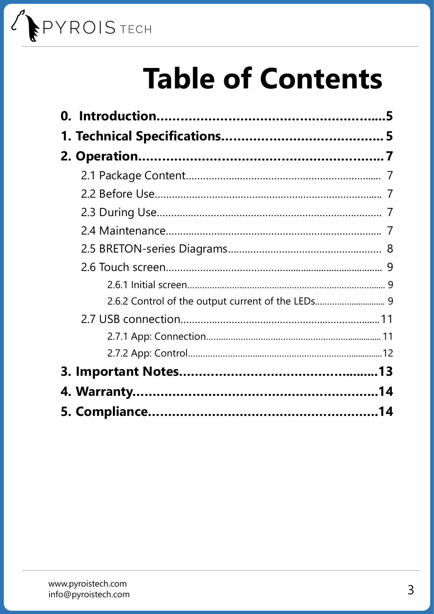

# **Table of Contents**

| 2.6.2 Control of the output current of the LEDs 9 |  |
|---------------------------------------------------|--|
|                                                   |  |
|                                                   |  |
|                                                   |  |
|                                                   |  |
|                                                   |  |
|                                                   |  |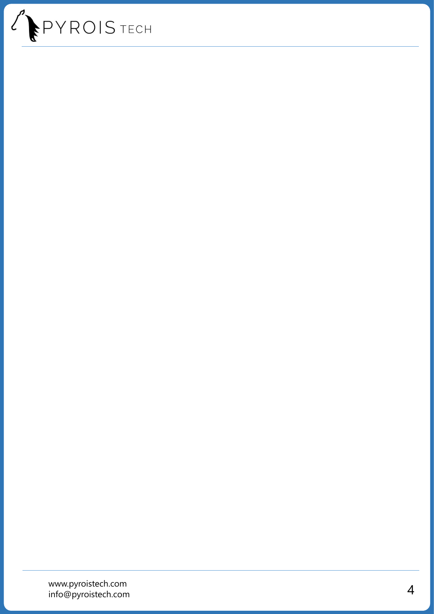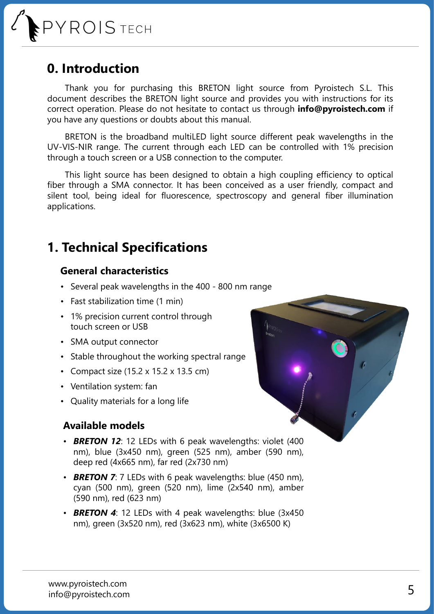<span id="page-4-0"></span>

### **0. Introduction**

Thank you for purchasing this BRETON light source from Pyroistech S.L. This document describes the BRETON light source and provides you with instructions for its correct operation. Please do not hesitate to contact us through **[info@pyroistech.com](mailto:info@pyroistech.com)** if you have any questions or doubts about this manual.

BRETON is the broadband multiLED light source different peak wavelengths in the UV-VIS-NIR range. The current through each LED can be controlled with 1% precision through a touch screen or a USB connection to the computer.

This light source has been designed to obtain a high coupling efficiency to optical fiber through a SMA connector. It has been conceived as a user friendly, compact and silent tool, being ideal for fluorescence, spectroscopy and general fiber illumination applications.

# **1. Technical Specifications**

#### **General characteristics**

- Several peak wavelengths in the 400 800 nm range
- Fast stabilization time (1 min)
- 1% precision current control through touch screen or USB
- SMA output connector
- Stable throughout the working spectral range
- Compact size (15.2 x 15.2 x 13.5 cm)
- Ventilation system: fan
- Quality materials for a long life

#### **Available models**

- *BRETON 12*: 12 LEDs with 6 peak wavelengths: violet (400 nm), blue (3x450 nm), green (525 nm), amber (590 nm), deep red (4x665 nm), far red (2x730 nm)
- *BRETON 7*: 7 LEDs with 6 peak wavelengths: blue (450 nm), cyan (500 nm), green (520 nm), lime (2x540 nm), amber (590 nm), red (623 nm)
- *BRETON 4*: 12 LEDs with 4 peak wavelengths: blue (3x450 nm), green (3x520 nm), red (3x623 nm), white (3x6500 K)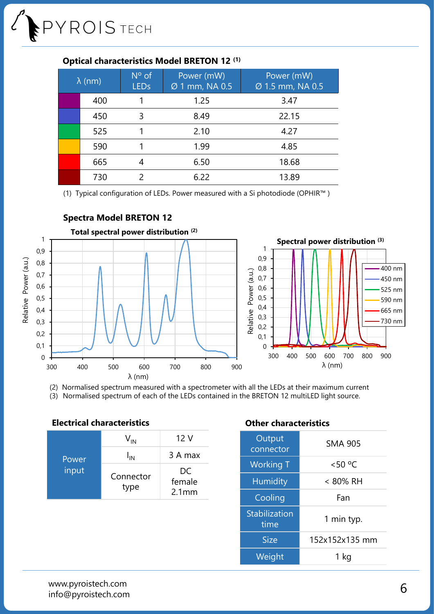<span id="page-5-0"></span>

| $\lambda$ (nm) | $N^{\circ}$ of<br><b>LEDs</b> | Power (mW)<br>Ø 1 mm, NA 0.5 | Power (mW)<br>Ø 1.5 mm, NA 0.5 |
|----------------|-------------------------------|------------------------------|--------------------------------|
| 400            |                               | 1.25                         | 3.47                           |
| 450            | 3                             | 8.49                         | 22.15                          |
| 525            |                               | 2.10                         | 4.27                           |
| 590            |                               | 1.99                         | 4.85                           |
| 665            | 4                             | 6.50                         | 18.68                          |
| 730            | 2                             | 6.22                         | 13.89                          |

#### **Optical characteristics Model BRETON 12 (1)**

(1) Typical configuration of LEDs. Power measured with a Si photodiode (OPHIR™ )



#### **Spectra Model BRETON 12**

(2) Normalised spectrum measured with a spectrometer with all the LEDs at their maximum current

(3) Normalised spectrum of each of the LEDs contained in the BRETON 12 multiLED light source.

**Electrical characteristics**

| Power<br>input | V <sub>ini</sub>  | 12 V                  |
|----------------|-------------------|-----------------------|
|                | I <sub>IN</sub>   | 3 A max               |
|                | Connector<br>type | DC<br>female<br>2.1mm |

#### **Other characteristics**

| Output<br>connector   | <b>SMA 905</b> |  |
|-----------------------|----------------|--|
| <b>Working T</b>      | $<$ 50 °C      |  |
| <b>Humidity</b>       | < 80% RH       |  |
| Cooling               | Fan            |  |
| Stabilization<br>time | 1 min typ.     |  |
| <b>Size</b>           | 152x152x135 mm |  |
| Weight                | kq             |  |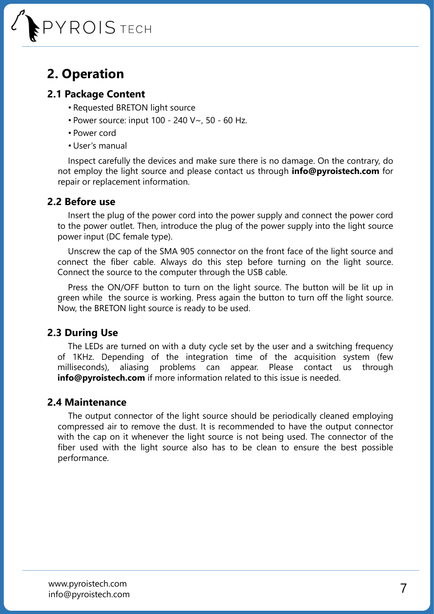<span id="page-6-0"></span>

## **2. Operation**

#### **2.1 Package Content**

- Requested BRETON light source
- Power source: input 100 240 V~, 50 60 Hz.
- Power cord
- User's manual

Inspect carefully the devices and make sure there is no damage. On the contrary, do not employ the light source and please contact us through **[info@pyroistech.com](mailto:info@pyroistech.com)** for repair or replacement information.

#### **2.2 Before use**

Insert the plug of the power cord into the power supply and connect the power cord to the power outlet. Then, introduce the plug of the power supply into the light source power input (DC female type).

Unscrew the cap of the SMA 905 connector on the front face of the light source and connect the fiber cable. Always do this step before turning on the light source. Connect the source to the computer through the USB cable.

Press the ON/OFF button to turn on the light source. The button will be lit up in green while the source is working. Press again the button to turn off the light source. Now, the BRETON light source is ready to be used.

#### **2.3 During Use**

The LEDs are turned on with a duty cycle set by the user and a switching frequency of 1KHz. Depending of the integration time of the acquisition system (few milliseconds), aliasing problems can appear. Please contact us through **[info@pyroistech.com](mailto:info@pyroistech.com)** if more information related to this issue is needed.

#### **2.4 Maintenance**

The output connector of the light source should be periodically cleaned employing compressed air to remove the dust. It is recommended to have the output connector with the cap on it whenever the light source is not being used. The connector of the fiber used with the light source also has to be clean to ensure the best possible performance.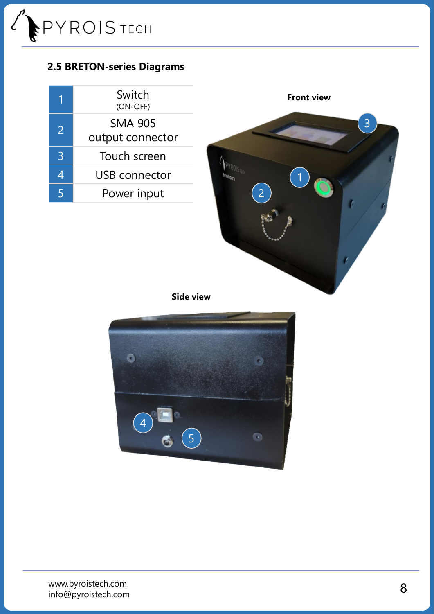<span id="page-7-0"></span>

### **2.5 BRETON-series Diagrams**

|                         | Switch<br>(ON-OFF)                 |
|-------------------------|------------------------------------|
| $\overline{2}$          | <b>SMA 905</b><br>output connector |
| 3                       | Touch screen                       |
| $\boldsymbol{\varPhi}$  | <b>USB connector</b>               |
| $\overline{\mathsf{L}}$ | Power input                        |



**Side view**

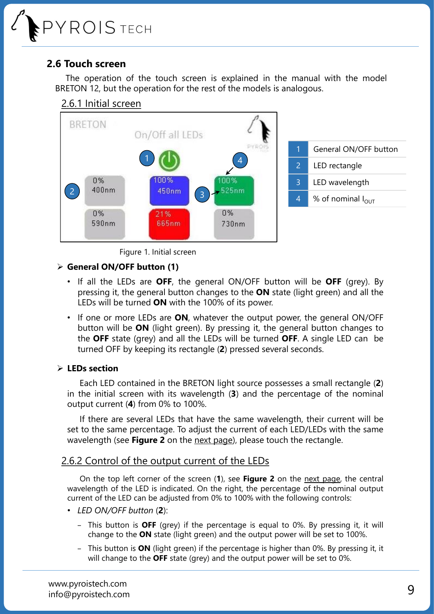<span id="page-8-0"></span>

### **2.6 Touch screen**

The operation of the touch screen is explained in the manual with the model BRETON 12, but the operation for the rest of the models is analogous.

### 2.6.1 Initial screen



Figure 1. Initial screen

#### ➢ **General ON/OFF button (1)**

- If all the LEDs are **OFF**, the general ON/OFF button will be **OFF** (grey). By pressing it, the general button changes to the **ON** state (light green) and all the LEDs will be turned **ON** with the 100% of its power.
- If one or more LEDs are **ON**, whatever the output power, the general ON/OFF button will be **ON** (light green). By pressing it, the general button changes to the **OFF** state (grey) and all the LEDs will be turned **OFF**. A single LED can be turned OFF by keeping its rectangle (**2**) pressed several seconds.

#### ➢ **LEDs section**

Each LED contained in the BRETON light source possesses a small rectangle (**2**) in the initial screen with its wavelength (**3**) and the percentage of the nominal output current (**4**) from 0% to 100%.

If there are several LEDs that have the same wavelength, their current will be set to the same percentage. To adjust the current of each LED/LEDs with the same wavelength (see **Figure 2** on the next [page](#page-9-0)), please touch the rectangle.

#### 2.6.2 Control of the output current of the LEDs

On the top left corner of the screen (**1**), see **Figure 2** on the next [page,](#page-9-0) the central wavelength of the LED is indicated. On the right, the percentage of the nominal output current of the LED can be adjusted from 0% to 100% with the following controls:

- *LED ON/OFF button* (**2**):
	- This button is **OFF** (grey) if the percentage is equal to 0%. By pressing it, it will change to the **ON** state (light green) and the output power will be set to 100%.
	- This button is **ON** (light green) if the percentage is higher than 0%. By pressing it, it will change to the **OFF** state (grey) and the output power will be set to 0%.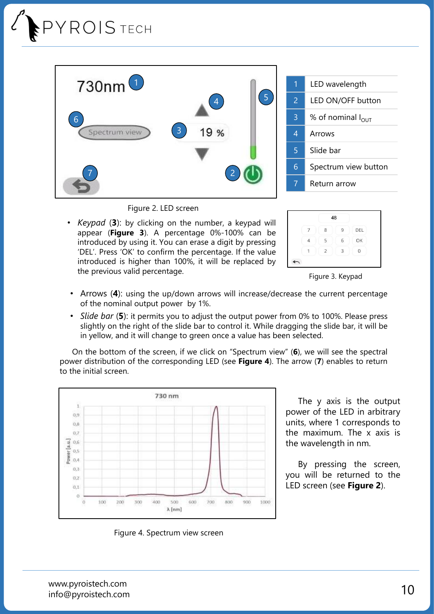<span id="page-9-0"></span>



Figure 2. LED screen

• *Keypad* (**3**): by clicking on the number, a keypad will appear (**Figure 3**). A percentage 0%-100% can be introduced by using it. You can erase a digit by pressing 'DEL'. Press 'OK' to confirm the percentage. If the value introduced is higher than 100%, it will be replaced by the previous valid percentage.

|   | 48             |   |             |
|---|----------------|---|-------------|
| 7 | $\,8\,$        | 9 | DEL         |
|   | 5              | 6 | OK          |
|   | $\overline{2}$ | 3 | $\mathbf 0$ |

Figure 3. Keypad

- Arrows (**4**): using the up/down arrows will increase/decrease the current percentage of the nominal output power by 1%.
- *Slide bar* (**5**): it permits you to adjust the output power from 0% to 100%. Please press slightly on the right of the slide bar to control it. While dragging the slide bar, it will be in yellow, and it will change to green once a value has been selected.

On the bottom of the screen, if we click on "Spectrum view" (**6**), we will see the spectral power distribution of the corresponding LED (see **Figure 4**). The arrow (**7**) enables to return to the initial screen.



The y axis is the output power of the LED in arbitrary units, where 1 corresponds to the maximum. The x axis is the wavelength in nm.

By pressing the screen, you will be returned to the LED screen (see **Figure 2**).

Figure 4. Spectrum view screen

[www.pyroistech.com](https://www.pyroistech.com/)  www.pyroistech.com 10<br>[info@pyroistech.com](mailto:info@pyroistech.com) 10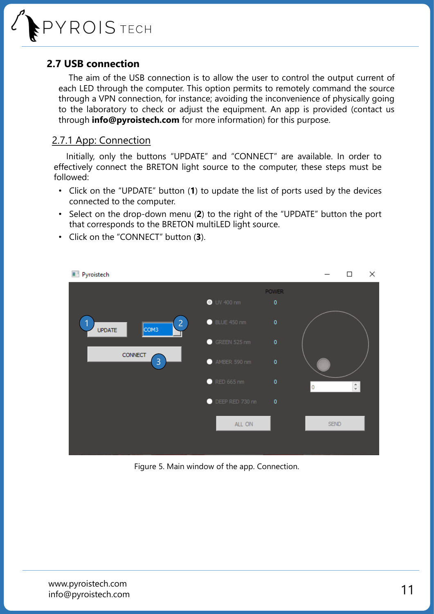<span id="page-10-0"></span>

### **2.7 USB connection**

The aim of the USB connection is to allow the user to control the output current of each LED through the computer. This option permits to remotely command the source through a VPN connection, for instance; avoiding the inconvenience of physically going to the laboratory to check or adjust the equipment. An app is provided (contact us through **[info@pyroistech.com](mailto:info@pyroistech.com)** for more information) for this purpose.

#### 2.7.1 App: Connection

Initially, only the buttons "UPDATE" and "CONNECT" are available. In order to effectively connect the BRETON light source to the computer, these steps must be followed:

- Click on the "UPDATE" button (**1**) to update the list of ports used by the devices connected to the computer.
- Select on the drop-down menu (**2**) to the right of the "UPDATE" button the port that corresponds to the BRETON multiLED light source.
- Click on the "CONNECT" button (**3**).



Figure 5. Main window of the app. Connection.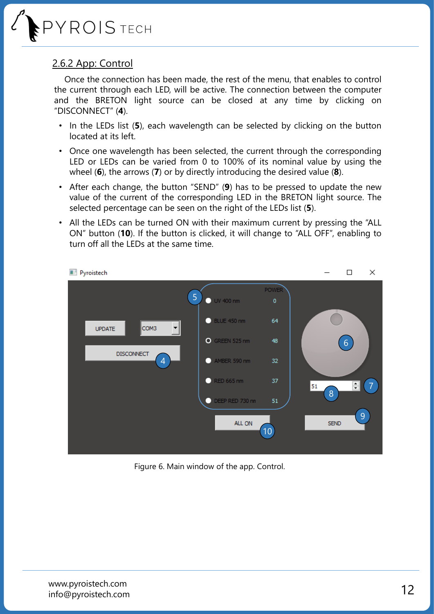<span id="page-11-0"></span>

#### 2.6.2 App: Control

Once the connection has been made, the rest of the menu, that enables to control the current through each LED, will be active. The connection between the computer and the BRETON light source can be closed at any time by clicking on "DISCONNECT" (**4**).

- In the LEDs list (**5**), each wavelength can be selected by clicking on the button located at its left.
- Once one wavelength has been selected, the current through the corresponding LED or LEDs can be varied from 0 to 100% of its nominal value by using the wheel (**6**), the arrows (**7**) or by directly introducing the desired value (**8**).
- After each change, the button "SEND" (**9**) has to be pressed to update the new value of the current of the corresponding LED in the BRETON light source. The selected percentage can be seen on the right of the LEDs list (**5**).
- All the LEDs can be turned ON with their maximum current by pressing the "ALL ON" button (**10**). If the button is clicked, it will change to "ALL OFF", enabling to turn off all the LEDs at the same time.

![](_page_11_Picture_7.jpeg)

Figure 6. Main window of the app. Control.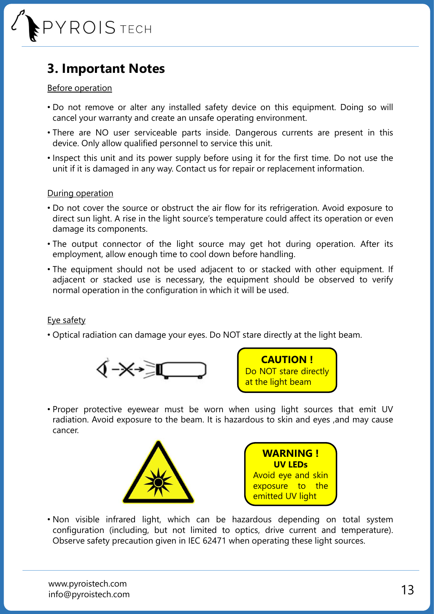<span id="page-12-0"></span>![](_page_12_Picture_0.jpeg)

# **3. Important Notes**

#### Before operation

- Do not remove or alter any installed safety device on this equipment. Doing so will cancel your warranty and create an unsafe operating environment.
- There are NO user serviceable parts inside. Dangerous currents are present in this device. Only allow qualified personnel to service this unit.
- Inspect this unit and its power supply before using it for the first time. Do not use the unit if it is damaged in any way. Contact us for repair or replacement information.

#### During operation

- Do not cover the source or obstruct the air flow for its refrigeration. Avoid exposure to direct sun light. A rise in the light source's temperature could affect its operation or even damage its components.
- The output connector of the light source may get hot during operation. After its employment, allow enough time to cool down before handling.
- The equipment should not be used adjacent to or stacked with other equipment. If adjacent or stacked use is necessary, the equipment should be observed to verify normal operation in the configuration in which it will be used.

#### Eye safety

• Optical radiation can damage your eyes. Do NOT stare directly at the light beam.

![](_page_12_Picture_12.jpeg)

**CAUTION !** Do NOT stare directly at the light beam

• Proper protective eyewear must be worn when using light sources that emit UV radiation. Avoid exposure to the beam. It is hazardous to skin and eyes ,and may cause cancer.

![](_page_12_Picture_15.jpeg)

![](_page_12_Picture_16.jpeg)

• Non visible infrared light, which can be hazardous depending on total system configuration (including, but not limited to optics, drive current and temperature). Observe safety precaution given in IEC 62471 when operating these light sources.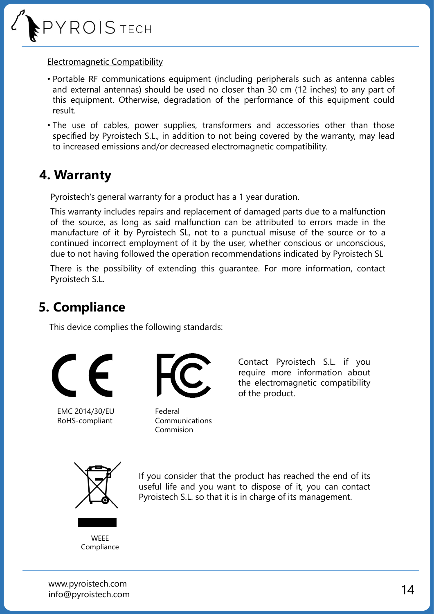<span id="page-13-0"></span>![](_page_13_Picture_0.jpeg)

Electromagnetic Compatibility

- Portable RF communications equipment (including peripherals such as antenna cables and external antennas) should be used no closer than 30 cm (12 inches) to any part of this equipment. Otherwise, degradation of the performance of this equipment could result.
- The use of cables, power supplies, transformers and accessories other than those specified by Pyroistech S.L., in addition to not being covered by the warranty, may lead to increased emissions and/or decreased electromagnetic compatibility.

# **4. Warranty**

Pyroistech's general warranty for a product has a 1 year duration.

This warranty includes repairs and replacement of damaged parts due to a malfunction of the source, as long as said malfunction can be attributed to errors made in the manufacture of it by Pyroistech SL, not to a punctual misuse of the source or to a continued incorrect employment of it by the user, whether conscious or unconscious, due to not having followed the operation recommendations indicated by Pyroistech SL

There is the possibility of extending this guarantee. For more information, contact Pyroistech S.L.

# **5. Compliance**

This device complies the following standards:

![](_page_13_Picture_10.jpeg)

EMC 2014/30/EU RoHS-compliant

![](_page_13_Picture_12.jpeg)

Federal Communications Commision

Contact Pyroistech S.L. if you require more information about the electromagnetic compatibility of the product.

![](_page_13_Picture_15.jpeg)

If you consider that the product has reached the end of its useful life and you want to dispose of it, you can contact Pyroistech S.L. so that it is in charge of its management.

![](_page_13_Picture_17.jpeg)

[www.pyroistech.com](https://www.pyroistech.com/)  [info@pyroistech.com](mailto:info@pyroistech.com)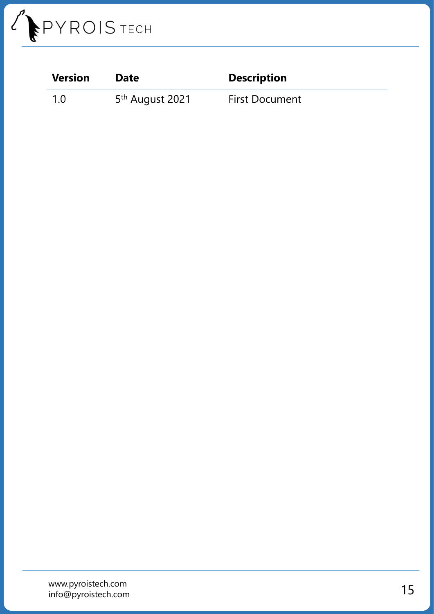![](_page_14_Picture_0.jpeg)

| <b>Version</b> | <b>Date</b>                 | <b>Description</b>    |
|----------------|-----------------------------|-----------------------|
| 1.0            | 5 <sup>th</sup> August 2021 | <b>First Document</b> |